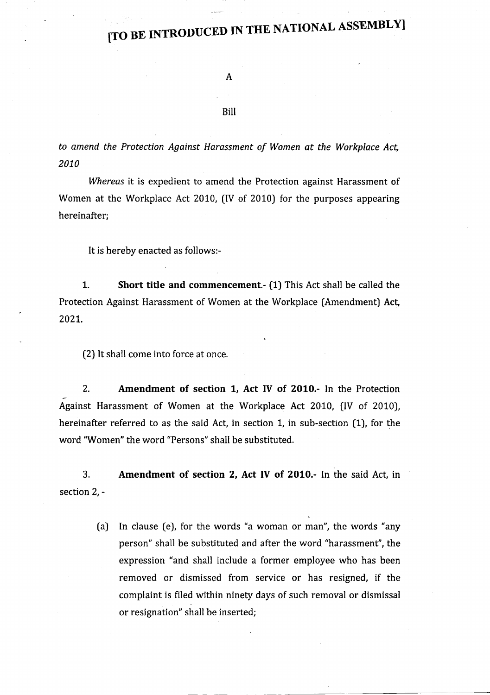## [TO BE INTRODUCED IN THE NATIONAL ASSEMBLY]

#### Bill

to amend the Protection Against Harassment of Women at the Workplace Act, 2010

Whereas it is expedient to amend the Protection against Harassment of Women at the Workplace Act 2010, (IV of 2010) for the purposes appearing hereinafter;

It is hereby enacted as follows:-

1. Short title and commencement.- (1) This Act shall be called the Protection Against Harassment of Women at the Workplace (Amendment) Act, 2021.

(2) It shall come into force at once.

2. Amendment of section 1, Act IV of 2010.- In the Protection Against Harassment of Women at the Workplace Act 2010, (lV of 2010), hereinafter referred to as the said Act, in section 1, in sub-section (1), for the word "Women" the word "Persons" shall be substituted.

3. section 2, - Amendment of section 2, Act IV of 2010.- In the said Act, in

> (a) In clause (e), for the words "a woman or man", the words "any person" shall be substituted and after the word "harassment", the expression "and shall include a former employee who has been removed or dismissed from service or has resigned, if the complaint is filed within ninety days of such removal or dismissal or resignation" shall be inserted;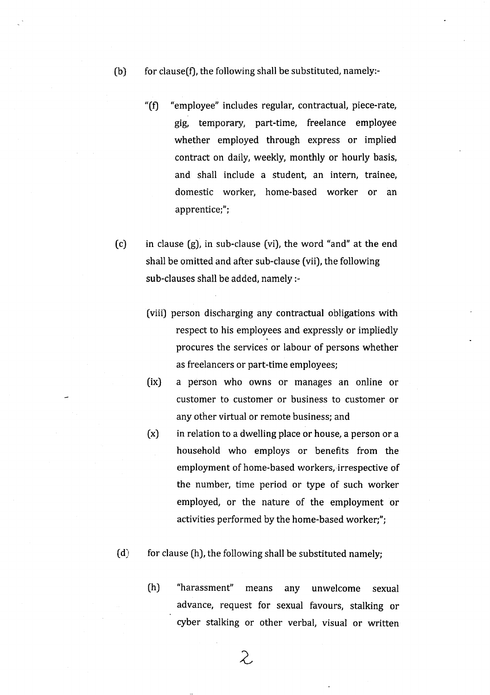- (b) for clause(f), the following shall be substituted, namely:-
	- "(f) "employee" includes regular, contractual, piece-rate, gig, temporary, part-time, freelance employee whether employed through express or implied contract on daily, weekly, monthly or hourly basis, and shall include a student, an intern, trainee, domestic worker, home-based worker or an apprentice;";
- (c) in clause (g), in sub-clause (vi), the word "and" at the end shall be omitted and after sub-clause (vii), the following sub-clauses shall be added, namely:
	- fviii) person discharging any contractual obligations with respect to his employees and expressly or impliedly procures the services or labour of persons whether as freelancers or part-time employees;
	- (ix) a person who owns or manages an online or customer to customer or business to customer or any other virtual or remote business; and
	- (x) in relation to a dwelling place or house, a person or <sup>a</sup> household who employs or benefits from the employment of home-based workers, irrespective of the number, time period or type of such worker employed, or the nature of the employment or activities performed by the home-based worker;";
- $(d)$  for clause (h), the following shall be substituted namely;
	- (h) "harassment'' means any unwelcome sexual advance, request for sexual favours, stalking or cyber stalking or other verbal, visual or written

 $\mathcal{Z}% _{G}^{(n)}$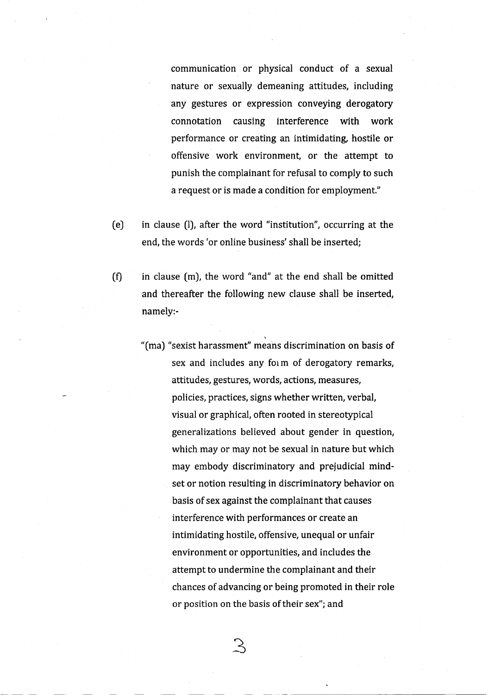communication or physical conduct of a sexual nature or sexually demeaning attitudes, including any gestures or expression conveying derogatory connotation causing interference with work performance or creating an intimidating hostile or offensive work environment, or the attempt to punish the complainant for refusal to comply to such a request or is made a condition for employment."

- (e) in clause (l), after the word "institution", occurring at the end, the words 'or online business'shall be inserted;
- $(f)$  in clause  $(m)$ , the word "and" at the end shall be omitted and thereafter the following new clause shall be inserted, namely:-
	- "(ma) "sexist harassment" means discrimination on basis of sex and includes any form of derogatory remarks, attitudes, gestures, words, actions, measures, policies, practices, signs whether written, verbal, visual or graphical, often rooted in stereotypical generalizations believed about gender in question, which may or may not be sexual in nature but which may embody discriminatory and prejudicial mindset or notion resulting in discriminatory behavior on basis of sex against the complainant that causes interference with performances or create an intimidating hostile, offensive, unequal or unfair environment or opportunities, and includes the attempt to undermine the complainant and their chances of advancing or being promoted in their role or position on the basis of their sex"; and

 $\mathcal{S}$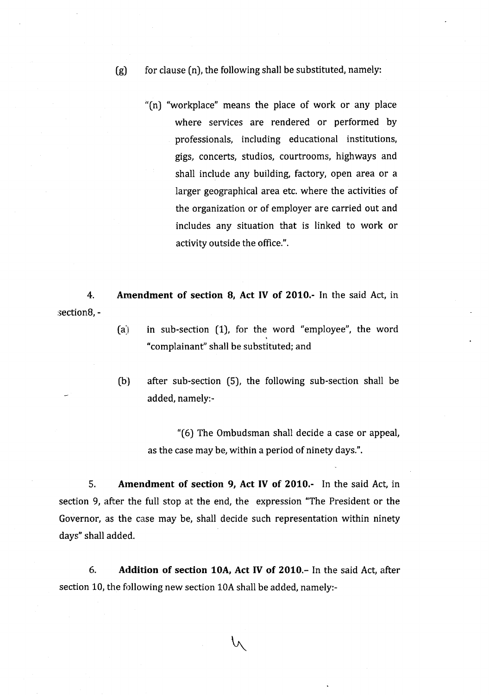- $(g)$  for clause  $(n)$ , the following shall be substituted, namely:
	- "(n) "workplace" means the place of work or any place where services are rendered or performed by professionals, including educational institutions, gigs, concerts, studios, courtrooms, highways and shall include any building, factory, open area or <sup>a</sup> larger geographical area etc. where the activities of the organization or of employer are carried out and includes any situation that is linked to work or activity outside the office.".
- 4. Amendment of section 8, Act IV of 2010.- In the said Act, in section8, -
	- $(a)$  in sub-section  $(1)$ , for the word "employee", the word "complainant" shall be substituted; and
	- (b) after sub-section (5), the following sub-section shall be added, namely:-

"(6) The Ombudsman shall decide a case or appeal, as the case may be, within a period of ninety days.".

5. Amendment of section 9, Act IV of 2010.- In the said Act, in section 9, after the full stop at the end, the expression "The President or the Governor, as the case may be, shall decide such representation within ninety days" shall added.

6. Addition of section 10A, Act IV of 2010.- In the said Act, after section 10, the following new section 10A shall be added, namely:-

 $\wedge$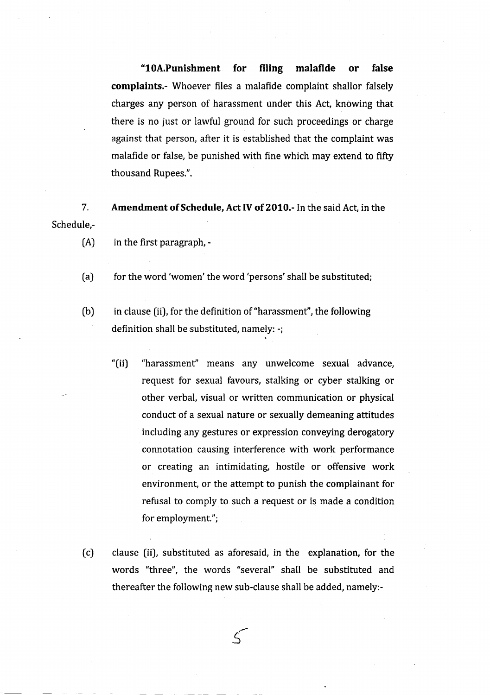"l0A.Punishment for filing malafide or false complaints.- Whoever files a malafide complaint shallor falsely charges any person of harassment under this Act, knowing that there is no just or lawful ground for such proceedings or charge against that person, after it is established that the complaint was malafide or false, be punished with fine which may extend to fifty thousand Rupees.".

7. Amendment of Schedule, Act IV of 2010.- In the said Act, in the Schedule,-

- $(A)$  in the first paragraph, -
- (a) for the word 'women' the word 'persons' shall be substituted;
- (b) in clause (ii), for the definition of "harassment", the following definition shall be substituted, namely: -;
	- "(ii) "harassment" means any unwelcome sexual advance, request for sexual favours, stalking or cyber stalking or other verbal, visual or written communication or physical conduct of a sexual nature or sexually demeaning attitudes including any gestures or expression conveying derogatory connotation causing interference with work performance or creating an intimidating, hostile or offensive work environment, or the attempt to punish the complainant for refusal to comply to such a request or is made a condition for employment.";
- (c) clause (ii), substituted as aforesaid, in the explanation, for the words "three", the words "several" shall be substituted and thereafter the following new sub-clause shall be added, namely:-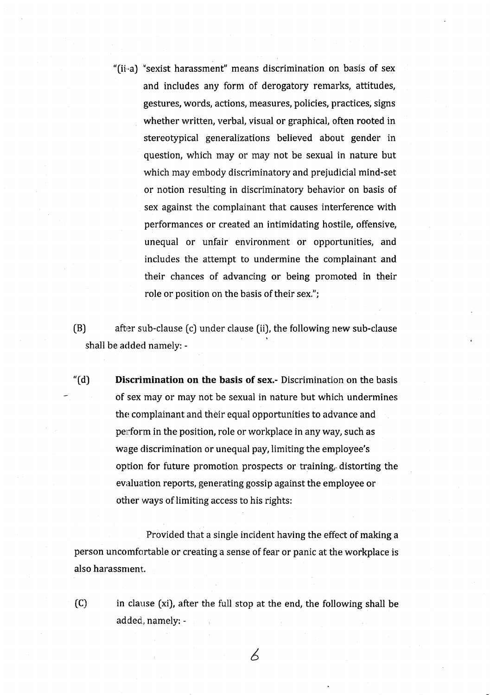"(ii-a) ''sexist harassment" means discrimination on basis of sex and includes any form of derogatory remarks, attitudes, gestures, words, actions, measures, policies, practices, signs whether written, verbal, visual or graphical, often rooted in stereotypical generalizations believed about gender in question, which may or may not be sexual in nature but which may embody discriminatory and prejudicial mind-set or notion resulting in discriminatory behavior on basis of sex against the complainant that causes interference with performances or created an intimidating hostile, offensive, unequal or unfair environment or opportunities, and includes the attempt to undermine the complainant and their chances of advancing or being promoted in their role or position on the basis of their sex.";

 $(B)$  after sub-clause (c) under clause (ii), the following new sub-clause shall be added namely: -

"(d) Discrimination on the basis of sex.- Discrimination on the basis of sex may or may not be sexual in nature but which undermines the complainant and their equal opportunities to advance and perform in the position, role or workplace in any way, such as wage discrimination or unequal pay, limiting the employee's option for future promotion prospects or training, distorting the evaluation reports, generating gossip against the employee or other ways of limiting access to his rights:

Provided that a single incident having the effect of making a person uncomfortable or creating a sense of fear or panic at the workplace is also harassment.

in clause (xi), after the full stop at the end, the following shall be added, namely: - (c]

6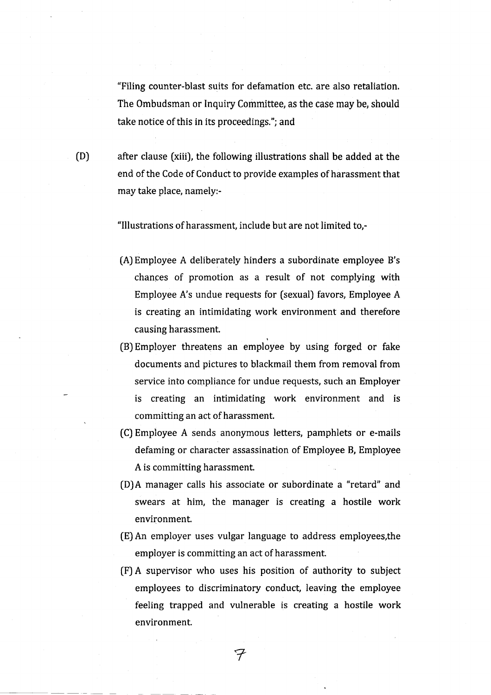"Filing counter-blast suits for defamation etc. are also retaliation. The Ombudsman or Inquiry Committee, as the case may be, should take notice of this in its proceedings."; and

after clause (xiii), the following illustrations shall be added at the end of the Code of Conduct to provide examples of harassment that may take place, namely:-

"lllustrations of harassment, include but are not limited to,-

- (A) Employee A deliberately hinders a subordinate employee B's chances of promotion as a result of not complying with Employee A's undue requests for (sexual) favors, Employee A is creating an intimidating work environment and therefore causing harassment.
- [B) Employer threatens an employee by using forged or fake documents and pictures to blackmail them from removal from service into compliance for undue requests, such an Employer is creating an intimidating work environment and is committing an act of harassment.
- (C) Employee A sends anonymous letters, pamphlets or e-mails defaming or character assassination of Employee B, Employee A is committing harassment.
- [D)A manager calls his associate or subordinate a "retard" and swears at him, the manager is creating a hostile work environment.
- (E) An employer uses vulgar language to address employees,the employer is committing an act of harassment.
- (F) A supervisor who uses his position of authority to subject employees to discriminatory conduct, leaving the employee feeling trapped and vulnerable is creating a hostile work environment.

(D)

7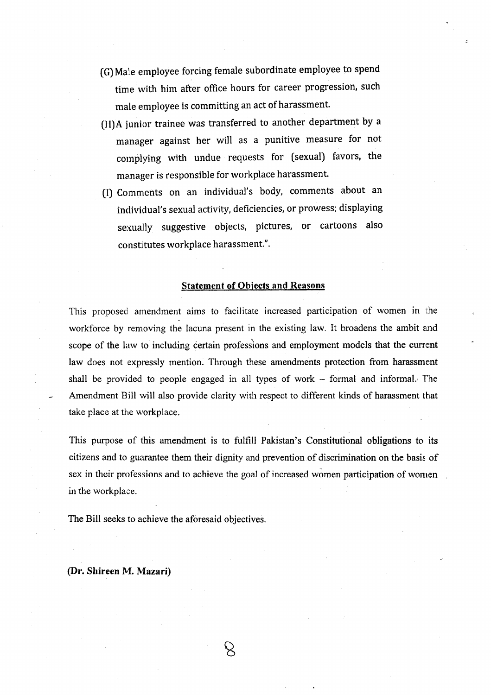- (G) Male employee forcing female subordinate employee to spend time with him after office hours for career progression, such male employee is committing an act of harassment.
- (H)A junior trainee was transferred to another department by <sup>a</sup> manager against her will as a punitive measure for not cornplying with undue requests for (sexual) favors, the manager is responsible for workplace harassment.
- (l) Comments on an individual's body, comments about an individual's sexual activity, deficiencies, or prowess; displaying sexually suggestive objects, pictures, or cartoons also constitutes workplace harassment.".

### Statement of Obiects and Reasons

This proposed amendment aims to facilitate increased participation of women in the workforce by removing the lacuna present in the existing law. It broadens the ambit end scope of the law to including certain professions and employment models that the current law does not expressly mention. Through these amendments protection from harassment shall be provided to people engaged in all types of work  $-$  formal and informal. The Amendment Bill will also provide clarity with respect to different kinds of harassment that take place at the workplace.

This purpose of this amendment is to fulfill Pakistan's Constitutional obligations to its citizens and to guarantee them their dignity and prevention of discrimination on the basis of sex in their professions and to achieve the goal of increased women participation of wonren in the workplace.

 $\beta$ 

The Bill seeks to achieve the aforesaid objectives.

### (Dr. Shireen M. Mazari)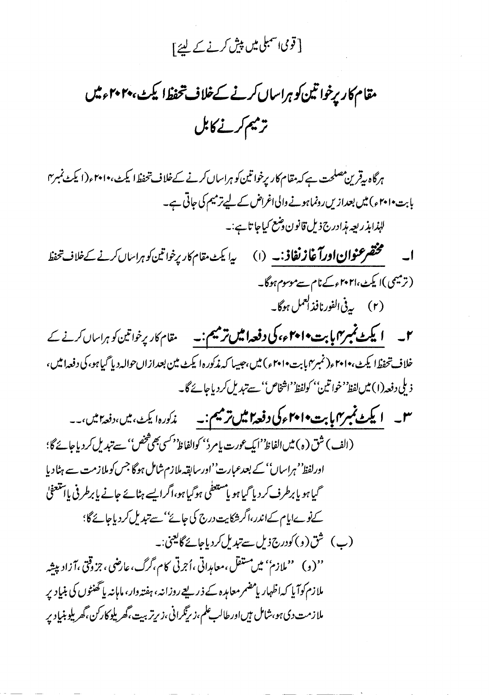## [ قومی اسمبلی میں پیش کرنے کے لئے <u>]</u>

# مقام کار برخواتین کو ہراساں کرنے کےخلاف تحفظ ایکٹ، ۲۰۲۰ء میں ترميم كرنے كابل

ہرگاہ پیقرین مصلحت ہے کہ مقام کار پرخوا تین کو ہراساں کرنے کےخلاف تحفظ ایکٹ، ۲۰۱۰ء(ایکٹ نمبر ۲ بابت•ا•۲ ء) میں بعدازیں رونماہونے والی اغراض کے لیےترمیم کی جاتی ہے۔ للبذابذ ربعه مذادرج ذيل قانون وشع كياجا تاہے:۔ **ا۔ مختصر عنوان اورآغاز نفاذ:۔** (۱) ی<sub>د</sub>ا یکٹ مقام کاریرخواتین کوہراساں کرنے کے خلاف تحفظ (ترمیمی)ایکٹ،۲۰۲۱ءکےنام سےموسوم ہوگا۔ (۲) په پې الفورنافذ ا<sup>لعمل</sup> ہوگا۔

۲۔ ایکٹ نمبر میں پابت ۲۰۱۰ء کی **دفعہ امیں ترمیم:۔** ہقام کار پرخواتین کو ہراساں کرنے کے خلاف تحفظ ايكٹ، ٢٠١٠ء (نمبر٢٠١ بت ٢٠١٠ء) ميں،جيسا كہ مذكوره ايكٹ مين بعداز اں حوالہ ديا گيا ہو، كى دفعه اميں، ذيلي دفعه(١) ميں لفظ 'خواتين'' كولفظ''اشخاص'' سےتبدیل كردياجائے گا۔

س - **ایکٹ نمبر <sub>ا</sub>یابت ۲۰۱۰ء کی دفعہ امیں ترمیم : \_** خدکورہ ایکٹ، میں،دفع<sup>ہ</sup> میں،۔۔ (الف) شق (ه) میں الفاظ''ایک <sub>عم</sub>ورت یامرد'' کوالفاظ'<sup>د کس</sup>ی بھی شخص'' سے تبدیل کردیاجائے گا؛ اورلفظ' مہراساں'' کے بعدعبارت''اورسابقہ ملازم شامل ہوگا جس کوملازمت سے ہٹا دیا گیا ہو یا برطرف کر دیا گیا ہو یا مستعفٰی ہوگیا ہو،اگرایسے ہٹائے جانے پابرطرفی پائنتعفیٰ کےنوےاپام کےاندر،اگر شکایت درج کی جائے''سے تبدیل کردیاجائے گا؛ (ب) ثق(و) کودرج ذیل سےتبدیل کردیاجائے گالیتی:۔ ''(و) ''ملازم'' میں مستقل،معاہدِاتی ،اُجرتی کام،گرگ،عارضی،جزوقتی ،آزادپپشہ ملازم کوآیا کہ اظہار پامضمر معاہدہ کے ذریعے روزانہ، ہفتہ دار، ماہانہ پاٹھنٹوں کی بنیاد پر ملازمت دی ہو،شامل ہیںاورطالب علم،زیزگرانی،زیرتربیت،گھریلوکارکن،گھریلوبنیادیر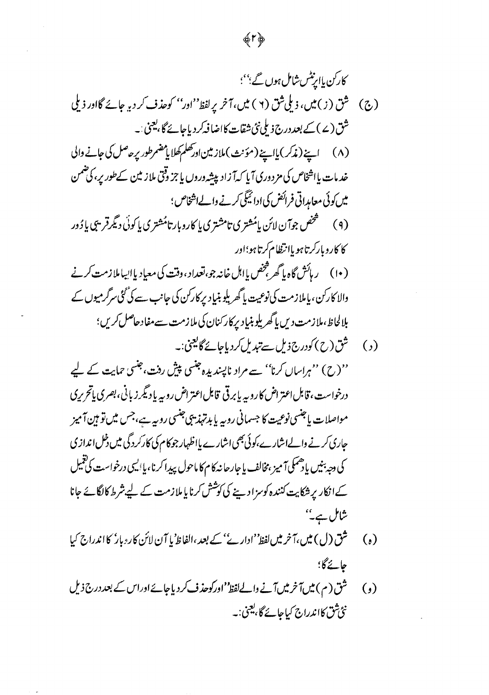## 愛下夢

کارکن یا پپٹس شاش مورن گ<sup>ب</sup>؛  
\n(چ) څرکن یا پپٹس شان مورن گ<sup>و ب</sup>ین میش میش کویات کری دی میش کی۔  
\n(چ) گور (ے) سپنہ نہیلی شن (۲) بیں، تامز پیلفظ<sup>ا</sup> نوری کریش کری میش کواری کو  
\n(۲) اپنین دیلیک میورن کو بیلی شن تھات سادا شرکر دیا جاگیس کری میش کیا چاری  
\n
$$
\frac{d}{dt}
$$
  
\n(۲) اپنین دریری کریا پیکھ تروری کریاکر نے واےاشیں یوگیلیا پرگن میر تھیں پاڈور  
\n4 (و) سے شویری میش کری کریا پریش کریا پریش کری میری کریر میوں کے  
\n4 (ویک تیریلی تیریلی تھی میکھ تریری تیا پریل کر دیا جا چویات میری میں کری  
\n4 (وای کری دیلیری کویری تیا پریل کریا پریکر کریاچاچی  
\n4 (ویا پریکریتی دیں یاگھریلیو تیریا کر دیا پیا پریر میں تے میش دیں بھری یاگریری  
\n4 (ویا گریری تی دیا ساگریلی تیریا کریا پری میری تی میش کریں تھیر  
\n4 (ویا گریری تی دیا ساگریری تی تیا سری کر دیا چیریت  
\n4 (ویا پریری تیا پریل کری دیا پریریری گریدیا پریری تیا تیریری سے میں دیں پری میری کے  
\n4 (ویا پریل کری دیا پریل کری تیا پریل کر دیا پیا تیری میں تریا پری میں کریری  
\n4 (ویا گ

- ف (ل) میں اگر میں لفظ ادارے کے بعد،الفا (b) یا آن لان 5ردبار 5 انگران کیا  $282 - 6$
- (و) ثق(م) میں آخر میں آنے والے لفظ ''اور کوحذف کر دیاجائے اوراس کے بعد درج ذیل نئ شق کااندراج کیاجائے گا، یعنی:۔

 $\tilde{\phantom{a}}$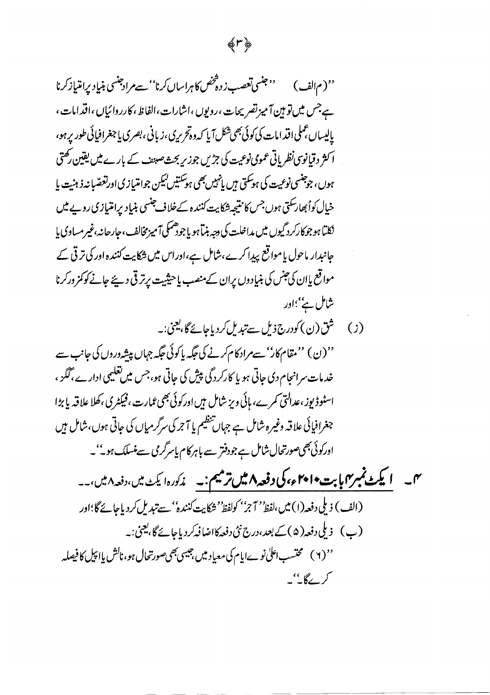### 愛い夢

''(م<sub>الف</sub>) میشی *تعصب ز*وهْخص کاهراسال کرنا''سےمرادجنسی بنیاِد پرامتیاز *کر*نا ہےجس میں تو ہین آمیز تصریحات ،رویوں ،اشارات،الفاظ،کارروائیاں ،اقدامات ، پایساں عملی اقدامات کی کوئی بھی شکل آیا کہ وہ تحریری ،زبانی ،بصری پاجغرافیائی طور پر ہو، ا کثر دقیانوسی نظر پاتی عمومی نوعیت کی جڑیں جوز ریجٹ صبیف کے بارے میں یقین رکھتی ہوں، جوجنسی نوعیت کی ہوسکتی ہیں پانہیں بھی ہوسکتیں کیکن جوامتیازی اورنغصّیا نہ ذہنیت یا خیال کوابھارسکتی ہوں جس کا نتیجہ شکایت کنندہ کےخلاف جنسی بنیاد پرامتیازی روپے میں نکلیا ہوجوکارکرد گیوں میں مداخلت کی دجہ بنیا ہو یا جودھمکی آمیزمخالف، جارحانہ،غیرمساوی یا جانبدار ماحول یامواقع پیدا کرے،شامل ہے،اوراس میں شکایت کنندہ اور کی ترقی کے مواقع پاان کی جنس کی بنیادوں بران کے منصب یاحیثیت پرتر قی دیئے جانے کوکمز ورکرنا شامل ہے''؛اور

(ز) ثق(ن) کودرج ذیل سےتیدیل کردیاجائے گا،یعنی:۔ ''(ن) ''مقام کار''سےمراد کام کرنے کی جگہ پاکوئی جگہ جہاں پیشہ دروں کی جانب سے خد مات سرانجام دی جاتی ہو یا کارکردگی پیش کی جاتی ہو،جس میں تعلیمی ادار ے، گگز ، اسٹوڈیوز ،عدالتی کمرے، ہائی ویز شامل ہیں اورکوئی بھی عمارت ،فیکٹری ،کھلا علاقہ پا بڑا جغرافیائی علاقہ وغیرہ شامل ہے جہاں تنظیم یا آجر کی سرگرمیاں کی جاتی ہوں،شامل ہیں

اورکوئی بھیصورتحال شامل ہے جودفتر سے باہرکام پاسرگری سے منسلک ہو۔''۔ م<sub>ا—</sub> ایکٹ نمبر <sub>ک</sub>ابات ۲۰۱۰ء کی **دفعہ ۸ میں ترمیم**:۔ م*ذکور*ہ ایکٹ میں ،دفعہ ۸ میں ،۔۔ (الف) ذيلي دفعه(١) ميں،لفظ'' 7?'' كولفظ' نثركايت كنندہ'' سے تبديل كردياجائے گا؛اور (پ) زىلى دفعه( ۵ )كے بعد،درج نئى دفعه كااضافہ كردياجائے گا،يعمىٰ:۔

'' ( ۲ ) محتسب اعلیٰ نوےاپام کی معباِد میں بہیسی بھیصورتحال ہو، ناکش پااپیل کا فیصلہ کرے گا۔''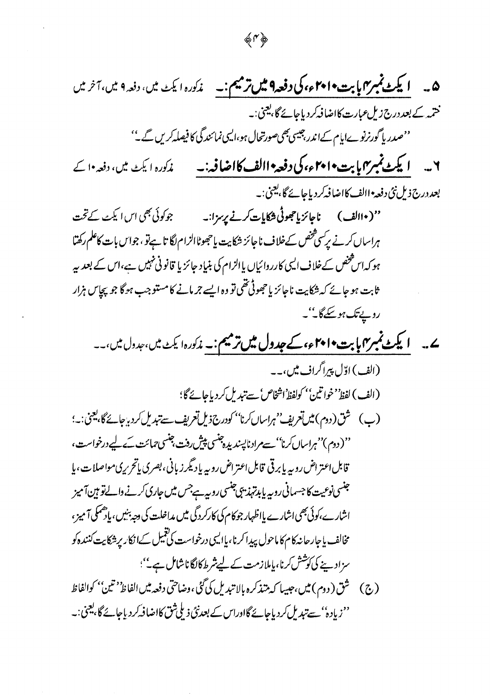$\begin{picture}(20,5) \put(0,0){\vector(0,1){30}} \put(15,0){\vector(0,1){30}} \put(15,0){\vector(0,1){30}} \put(15,0){\vector(0,1){30}} \put(15,0){\vector(0,1){30}} \put(15,0){\vector(0,1){30}} \put(15,0){\vector(0,1){30}} \put(15,0){\vector(0,1){30}} \put(15,0){\vector(0,1){30}} \put(15,0){\vector(0,1){30}} \put(15,0){\vector(0,1){30}} \put(15,0){\vector(0,$ 

 $\mathcal{A}^{(1)}$ 

 $\overline{\phantom{a}}$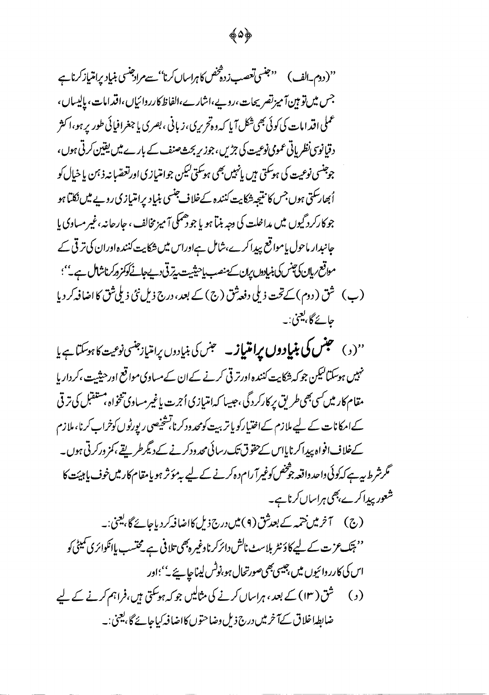''(دوم۔الف) سینسی تعصب زدہ تخص کا ہراساں کرنا''سے مراجنسی بنیاد پرامتیاز کرناہے ( جس میں تو ہین آمیز تصریحات،روپے،اشارے،الفاظ کارروائیاں،اقدامات، پالیساں، عملی اقدامات کی کوئی بھی شکل آیا کہ وہ تحریری، زبانی ، بصری یا جغرافیائی طور پر ہو،ا کثر دقیانوس نظر پاتی عمومی نوعیت کی جڑیں، جوزیر بحث صنف کے بارے میں یقین کرتی ہوں، جوجنسی نوعیت کی ہوسکتی ہیں پانہیں بھی ہوسکتی کیکن جوامتیازی اورتعصّابنہ ذہن یا خیال کو اُبھارسکتی ہوں جس کا نتیجہ شکایت کنندہ کےخلاف جنسی بنیاد برامتیازی روپے میں نکلیا ہو جو کارکرد گیوں میں مداخلت کی دجہ بنیا ہو یا جو دھمکی آمیز مخالف ، جارجانہ ،غیر مساوی یا جانبدار ماحول یاموا قع پیدا کرے،شامل ہےاوراس میں شکایت کنندہ اوران کی ترقی کے مواقع ريان كى چنس كى بنيادول يران سك منصب ياحيثيت يترقى دي جائے كو كمزور كرناشال ہے."؟ (ب) شق (دوم) کے تحت ذیلی دفعہ ثق (ج) کے بعد، درج ذیل نئی ذیلی ثق کا اضافہ کر دیا جائے گا، يعني: په

''(<sub>د</sub>) **حبس کی بنیاِدوں پرامتیاز۔** حبس کی بنیادوں پرامتیازجنسی نوعیت کا ہوسکتا ہے یا نہیں ہوسکتالیکن جو کہ شکایت کنندہ اورتر قی کرنے کےان کے مساوی مواقع اور حیثیت ،کردار ہا مقام کار میں سی بھی طریق پر کارکردگی،جیسا کہ امتیازی اُجرت پاغیرمساوی تنخواہ،مستقبل کی ترقی کےامکانات کے لیے ملازم کےاختیارکو پاتر بیت کومحد ودکرنا تشخیصی رپورٹوں کوخراب کرنا، ملازم کےخلاف افواہ پیدا کرنایااس کےحقوق تک رسائی محدودکرنے کے دیگرطر پقے ،کمز ورکرتی ہوں۔ گرشرط ہیے کہ کوئی داحد داقعہ جوْتِنھں کوغیرآ رام دہ کرنے کے لیے بہ مؤثر ہو یامقام کار میں خوف یا ہیئت کا شعور بیدا کرے بھی ہراساں کرناہے۔

'' ہتک عزت کے لیے کاؤنٹر بلاسٹ ناکش دائرکرناوغیر ہمیں تلافی ہے محتسب پاانکوائری کمیٹی کو اس کی کارر دائیوں میں جیسی بھیصورتحال ہو،نوٹس لیناحا ہے ٗ''؛اور (د) ثق( ۱۳) کے بعد ، ہراساں کرنے کی مثالیں جو کہ ہوسکتی ہیں،فراہم کرنے کے لیے ضابطہاخلاق کےآخر میں درج ذیل وضاحتوں کااضافہ کیاجائے گا، یعنی:۔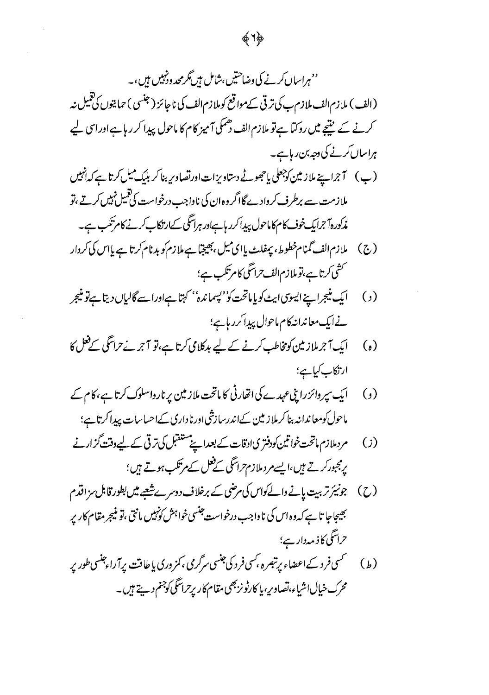# ''ہراساں *کرنے* کی وضاحتیں،شامل ہیں گرمحد وڈنبیں ہیں،۔ (الف) ملازم الف ملازم ب کی ترقی کے مواقع کوملازم الف کی ناجائز ( جنسی ) حمایتوں کی تعمیل نہ کرنے کے نتیجے میں روکتا ہےتو ملازم الف دھمکی آمیز کام کا ماحول پیدا کر رہا ہے اور اسی لیے ہراساں کرنے کی وجہ بن ریا ہے۔

- ملازمت سے برطرف کروادے گااگر وہ ان کی ناواجب درخواست کی تنبیل نہیں کرتے ،تو مذکورہ آجرایک خوف کام کاماحول پیدا کرر ہاہاور ہراسگی کےارتکاب کرنے کامرتکب ہے۔
- (ج) ملا زم الف گمنام خطوط، پیفلٹ پا ای میل ،بھیجبا ہے ملا زم کو بدنام کر تا ہے پااس کی کردار ۔<br>سشی کرتا ہے،توملازم الف حراسگی کام تکب ہے؛
- ایک منیجراپنے ایسوسی ایٹ کو پا ماتحت کو''یسماندہ'' کہتا ہےاوراسے گالیاں دیتا ہےتو منیجر  $\left( \cdot \right)$ نے ایک معاندانہ کام ماحوال پیداکرر ہاہے؛
- ایک آجرملاز مین کومخاطب کرنے کے لیے بدکلامی کرتا ہے،تو آجر ئےحراسکی کےفعل کا  $\left( \begin{matrix} \cdot \\ \cdot \end{matrix} \right)$ ارتكاب كياهي؛
- (و) ایک سپر وائز رایپ عہدے کی اتھارٹی کا ماتحت ملازمین پرنارواسلوک کرتا ہے، کام کے ماحول کومعاندانہ بنا کرملاز مین کےاندرسازشی اورناداری کےاحساسات پیدا کرتاہے؛
- مردملازم ماتحت خواتین کودفتری ادقات کے بعدایے مستقبل کی ترقی کے لیے وقت گزارنے  $\left( \cdot \right)$ پرمجبورکرتے ہیں،ایسے مر دملازم تراسگی کےفعل کے مرتکب ہوتے ہیں؛
- (ح) جونیئر تربیت بانے دالےکواس کی مرضی کے برخلاف دوسرےشعبے میں بطور قابل سز اقدم <u> جی</u>جاجا تا ہے کہ وہ اس کی ناواجب درخواست جنسی خواہش کو*نہ*یں مانتی ،تو منیجر مقام کاریر حراسگی کاذ مہدار ہے؛
- محرک خیال اشیاء،نصاوریہ یا کارٹونزبھی مقام کار پرحراسگی کوجنم دیتے ہیں۔

愛りぬ